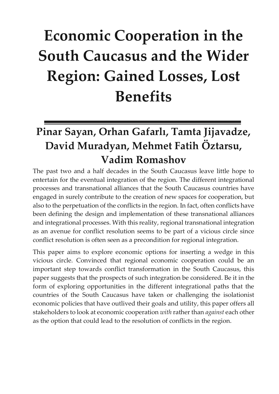# **Economic Cooperation in the South Caucasus and the Wider Region: Gained Losses, Lost Benefits**

# **Pinar Sayan, Orhan Gafarlı, Tamta Jijavadze, David Muradyan, Mehmet Fatih Öztarsu, Vadim Romashov**

The past two and a half decades in the South Caucasus leave little hope to entertain for the eventual integration of the region. The different integrational processes and transnational alliances that the South Caucasus countries have engaged in surely contribute to the creation of new spaces for cooperation, but also to the perpetuation of the conflicts in the region. In fact, often conflicts have been defining the design and implementation of these transnational alliances and integrational processes. With this reality, regional transnational integration as an avenue for conflict resolution seems to be part of a vicious circle since conflict resolution is often seen as a precondition for regional integration.

This paper aims to explore economic options for inserting a wedge in this vicious circle. Convinced that regional economic cooperation could be an important step towards conflict transformation in the South Caucasus, this paper suggests that the prospects of such integration be considered. Be it in the form of exploring opportunities in the different integrational paths that the countries of the South Caucasus have taken or challenging the isolationist economic policies that have outlived their goals and utility, this paper offers all stakeholders to look at economic cooperation *with* rather than *against* each other as the option that could lead to the resolution of conflicts in the region.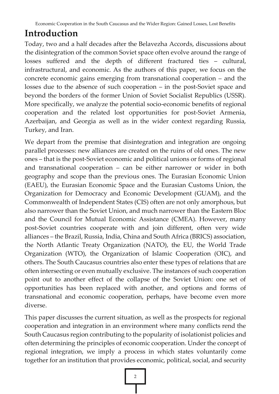# **Introduction**

Today, two and a half decades after the Belavezha Accords, discussions about the disintegration of the common Soviet space often evolve around the range of losses suffered and the depth of different fractured ties – cultural, infrastructural, and economic. As the authors of this paper, we focus on the concrete economic gains emerging from transnational cooperation – and the losses due to the absence of such cooperation – in the post-Soviet space and beyond the borders of the former Union of Soviet Socialist Republics (USSR). More specifically, we analyze the potential socio-economic benefits of regional cooperation and the related lost opportunities for post-Soviet Armenia, Azerbaijan, and Georgia as well as in the wider context regarding Russia, Turkey, and Iran.

We depart from the premise that disintegration and integration are ongoing parallel processes: new alliances are created on the ruins of old ones. The new ones – that is the post-Soviet economic and political unions or forms of regional and transnational cooperation – can be either narrower or wider in both geography and scope than the previous ones. The Eurasian Economic Union (EAEU), the Eurasian Economic Space and the Eurasian Customs Union, the Organization for Democracy and Economic Development (GUAM), and the Commonwealth of Independent States (CIS) often are not only amorphous, but also narrower than the Soviet Union, and much narrower than the Eastern Bloc and the Council for Mutual Economic Assistance (CMEA). However, many post-Soviet countries cooperate with and join different, often very wide alliances – the Brazil, Russia, India, China and South Africa (BRICS) association, the North Atlantic Treaty Organization (NATO), the EU, the World Trade Organization (WTO), the Organization of Islamic Cooperation (OIC), and others. The South Caucasus countries also enter these types of relations that are often intersecting or even mutually exclusive. The instances of such cooperation point out to another effect of the collapse of the Soviet Union: one set of opportunities has been replaced with another, and options and forms of transnational and economic cooperation, perhaps, have become even more diverse.

This paper discusses the current situation, as well as the prospects for regional cooperation and integration in an environment where many conflicts rend the South Caucasus region contributing to the popularity of isolationist policies and often determining the principles of economic cooperation. Under the concept of regional integration, we imply a process in which states voluntarily come together for an institution that provides economic, political, social, and security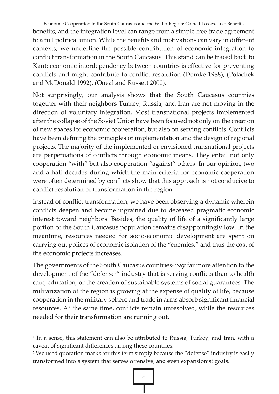Economic Cooperation in the South Caucasus and the Wider Region: Gained Losses, Lost Benefits benefits, and the integration level can range from a simple free trade agreement to a full political union. While the benefits and motivations can vary in different contexts, we underline the possible contribution of economic integration to conflict transformation in the South Caucasus. This stand can be traced back to Kant: economic interdependency between countries is effective for preventing conflicts and might contribute to conflict resolution (Domke 1988), (Polachek and McDonald 1992), (Oneal and Russett 2000).

Not surprisingly, our analysis shows that the South Caucasus countries together with their neighbors Turkey, Russia, and Iran are not moving in the direction of voluntary integration. Most transnational projects implemented after the collapse of the Soviet Union have been focused not only on the creation of new spaces for economic cooperation, but also on serving conflicts. Conflicts have been defining the principles of implementation and the design of regional projects. The majority of the implemented or envisioned transnational projects are perpetuations of conflicts through economic means. They entail not only cooperation "with" but also cooperation "against" others. In our opinion, two and a half decades during which the main criteria for economic cooperation were often determined by conflicts show that this approach is not conducive to conflict resolution or transformation in the region.

Instead of conflict transformation, we have been observing a dynamic wherein conflicts deepen and become ingrained due to deceased pragmatic economic interest toward neighbors. Besides, the quality of life of a significantly large portion of the South Caucasus population remains disappointingly low. In the meantime, resources needed for socio-economic development are spent on carrying out polices of economic isolation of the "enemies," and thus the cost of the economic projects increases.

The governments of the South Caucasus countries<sup>1</sup> pay far more attention to the development of the "defense<sup>2"</sup> industry that is serving conflicts than to health care, education, or the creation of sustainable systems of social guarantees. The militarization of the region is growing at the expense of quality of life, because cooperation in the military sphere and trade in arms absorb significant financial resources. At the same time, conflicts remain unresolved, while the resources needed for their transformation are running out.

1

<sup>1</sup> In a sense, this statement can also be attributed to Russia, Turkey, and Iran, with a caveat of significant differences among these countries.

<sup>&</sup>lt;sup>2</sup> We used quotation marks for this term simply because the "defense" industry is easily transformed into a system that serves offensive, and even expansionist goals.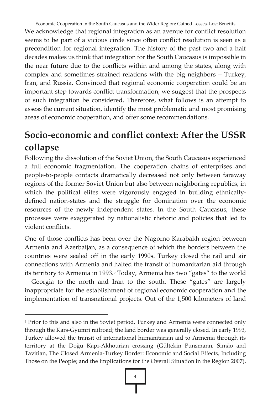Economic Cooperation in the South Caucasus and the Wider Region: Gained Losses, Lost Benefits We acknowledge that regional integration as an avenue for conflict resolution seems to be part of a vicious circle since often conflict resolution is seen as a precondition for regional integration. The history of the past two and a half decades makes us think that integration for the South Caucasus is impossible in the near future due to the conflicts within and among the states, along with complex and sometimes strained relations with the big neighbors – Turkey, Iran, and Russia. Convinced that regional economic cooperation could be an important step towards conflict transformation, we suggest that the prospects of such integration be considered. Therefore, what follows is an attempt to assess the current situation, identify the most problematic and most promising areas of economic cooperation, and offer some recommendations.

# **Socio-economic and conflict context: After the USSR collapse**

Following the dissolution of the Soviet Union, the South Caucasus experienced a full economic fragmentation. The cooperation chains of enterprises and people-to-people contacts dramatically decreased not only between faraway regions of the former Soviet Union but also between neighboring republics, in which the political elites were vigorously engaged in building ethnicallydefined nation-states and the struggle for domination over the economic resources of the newly independent states. In the South Caucasus, these processes were exaggerated by nationalistic rhetoric and policies that led to violent conflicts.

One of those conflicts has been over the Nagorno-Karabakh region between Armenia and Azerbaijan, as a consequence of which the borders between the countries were sealed off in the early 1990s. Turkey closed the rail and air connections with Armenia and halted the transit of humanitarian aid through its territory to Armenia in 1993.<sup>3</sup> Today, Armenia has two "gates" to the world – Georgia to the north and Iran to the south. These "gates" are largely inappropriate for the establishment of regional economic cooperation and the implementation of transnational projects. Out of the 1,500 kilometers of land

-

<sup>&</sup>lt;sup>3</sup> Prior to this and also in the Soviet period, Turkey and Armenia were connected only through the Kars-Gyumri railroad; the land border was generally closed. In early 1993, Turkey allowed the transit of international humanitarian aid to Armenia through its territory at the Doğu Kapı-Akhourian crossing (Gültekin Punsmann, Simão and Tavitian, The Closed Armenia-Turkey Border: Economic and Social Effects, Including Those on the People; and the Implications for the Overall Situation in the Region 2007).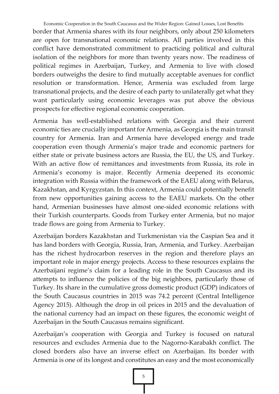Economic Cooperation in the South Caucasus and the Wider Region: Gained Losses, Lost Benefits border that Armenia shares with its four neighbors, only about 250 kilometers are open for transnational economic relations. All parties involved in this conflict have demonstrated commitment to practicing political and cultural isolation of the neighbors for more than twenty years now. The readiness of political regimes in Azerbaijan, Turkey, and Armenia to live with closed borders outweighs the desire to find mutually acceptable avenues for conflict resolution or transformation. Hence, Armenia was excluded from large transnational projects, and the desire of each party to unilaterally get what they want particularly using economic leverages was put above the obvious prospects for effective regional economic cooperation.

Armenia has well-established relations with Georgia and their current economic ties are crucially important for Armenia, as Georgia is the main transit country for Armenia. Iran and Armenia have developed energy and trade cooperation even though Armenia's major trade and economic partners for either state or private business actors are Russia, the EU, the US, and Turkey. With an active flow of remittances and investments from Russia, its role in Armenia's economy is major. Recently Armenia deepened its economic integration with Russia within the framework of the EAEU along with Belarus, Kazakhstan, and Kyrgyzstan. In this context, Armenia could potentially benefit from new opportunities gaining access to the EAEU markets. On the other hand, Armenian businesses have almost one-sided economic relations with their Turkish counterparts. Goods from Turkey enter Armenia, but no major trade flows are going from Armenia to Turkey.

Azerbaijan borders Kazakhstan and Turkmenistan via the Caspian Sea and it has land borders with Georgia, Russia, Iran, Armenia, and Turkey. Azerbaijan has the richest hydrocarbon reserves in the region and therefore plays an important role in major energy projects. Access to these resources explains the Azerbaijani regime's claim for a leading role in the South Caucasus and its attempts to influence the policies of the big neighbors, particularly those of Turkey. Its share in the cumulative gross domestic product (GDP) indicators of the South Caucasus countries in 2015 was 74.2 percent (Central Intelligence Agency 2015). Although the drop in oil prices in 2015 and the devaluation of the national currency had an impact on these figures, the economic weight of Azerbaijan in the South Caucasus remains significant.

Azerbaijan's cooperation with Georgia and Turkey is focused on natural resources and excludes Armenia due to the Nagorno-Karabakh conflict. The closed borders also have an inverse effect on Azerbaijan. Its border with Armenia is one of its longest and constitutes an easy and the most economically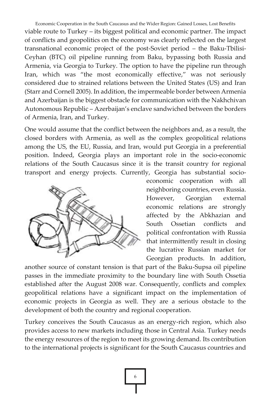Economic Cooperation in the South Caucasus and the Wider Region: Gained Losses, Lost Benefits viable route to Turkey – its biggest political and economic partner. The impact of conflicts and geopolitics on the economy was clearly reflected on the largest transnational economic project of the post-Soviet period – the Baku-Tbilisi-Ceyhan (BTC) oil pipeline running from Baku, bypassing both Russia and Armenia, via Georgia to Turkey. The option to have the pipeline run through Iran, which was "the most economically effective," was not seriously considered due to strained relations between the United States (US) and Iran (Starr and Cornell 2005). In addition, the impermeable border between Armenia and Azerbaijan is the biggest obstacle for communication with the Nakhchivan Autonomous Republic – Azerbaijan's enclave sandwiched between the borders of Armenia, Iran, and Turkey.

One would assume that the conflict between the neighbors and, as a result, the closed borders with Armenia, as well as the complex geopolitical relations among the US, the EU, Russia, and Iran, would put Georgia in a preferential position. Indeed, Georgia plays an important role in the socio-economic relations of the South Caucasus since it is the transit country for regional transport and energy projects. Currently, Georgia has substantial socio-



economic cooperation with all neighboring countries, even Russia. However, Georgian external economic relations are strongly affected by the Abkhazian and South Ossetian conflicts and political confrontation with Russia that intermittently result in closing the lucrative Russian market for Georgian products. In addition,

another source of constant tension is that part of the Baku-Supsa oil pipeline passes in the immediate proximity to the boundary line with South Ossetia established after the August 2008 war. Consequently, conflicts and complex geopolitical relations have a significant impact on the implementation of economic projects in Georgia as well. They are a serious obstacle to the development of both the country and regional cooperation.

Turkey conceives the South Caucasus as an energy-rich region, which also provides access to new markets including those in Central Asia. Turkey needs the energy resources of the region to meet its growing demand. Its contribution to the international projects is significant for the South Caucasus countries and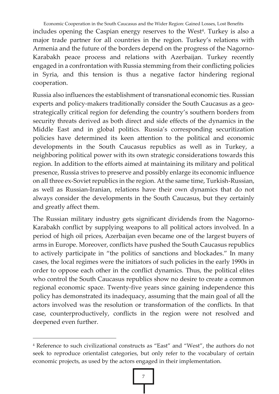Economic Cooperation in the South Caucasus and the Wider Region: Gained Losses, Lost Benefits includes opening the Caspian energy reserves to the West<sup>4</sup>. Turkey is also a major trade partner for all countries in the region. Turkey's relations with Armenia and the future of the borders depend on the progress of the Nagorno-Karabakh peace process and relations with Azerbaijan. Turkey recently engaged in a confrontation with Russia stemming from their conflicting policies in Syria, and this tension is thus a negative factor hindering regional cooperation.

Russia also influences the establishment of transnational economic ties. Russian experts and policy-makers traditionally consider the South Caucasus as a geostrategically critical region for defending the country's southern borders from security threats derived as both direct and side effects of the dynamics in the Middle East and in global politics. Russia's corresponding securitization policies have determined its keen attention to the political and economic developments in the South Caucasus republics as well as in Turkey, a neighboring political power with its own strategic considerations towards this region. In addition to the efforts aimed at maintaining its military and political presence, Russia strives to preserve and possibly enlarge its economic influence on all three ex-Soviet republics in the region. At the same time, Turkish-Russian, as well as Russian-Iranian, relations have their own dynamics that do not always consider the developments in the South Caucasus, but they certainly and greatly affect them.

The Russian military industry gets significant dividends from the Nagorno-Karabakh conflict by supplying weapons to all political actors involved. In a period of high oil prices, Azerbaijan even became one of the largest buyers of arms in Europe. Moreover, conflicts have pushed the South Caucasus republics to actively participate in "the politics of sanctions and blockades." In many cases, the local regimes were the initiators of such policies in the early 1990s in order to oppose each other in the conflict dynamics. Thus, the political elites who control the South Caucasus republics show no desire to create a common regional economic space. Twenty-five years since gaining independence this policy has demonstrated its inadequacy, assuming that the main goal of all the actors involved was the resolution or transformation of the conflicts. In that case, counterproductively, conflicts in the region were not resolved and deepened even further.

 $\overline{a}$ 

<sup>4</sup> Reference to such civilizational constructs as "East" and "West", the authors do not seek to reproduce orientalist categories, but only refer to the vocabulary of certain economic projects, as used by the actors engaged in their implementation.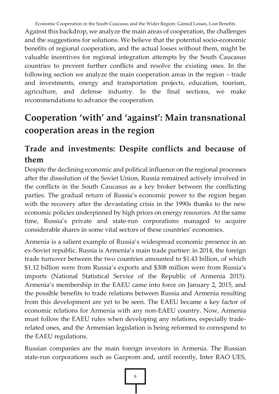Economic Cooperation in the South Caucasus and the Wider Region: Gained Losses, Lost Benefits Against this backdrop, we analyze the main areas of cooperation, the challenges and the suggestions for solutions. We believe that the potential socio-economic benefits of regional cooperation, and the actual losses without them, might be valuable incentives for regional integration attempts by the South Caucasus countries to prevent further conflicts and resolve the existing ones. In the following section we analyze the main cooperation areas in the region – trade and investments, energy and transportation projects, education, tourism, agriculture, and defense industry. In the final sections, we make recommendations to advance the cooperation.

# **Cooperation 'with' and 'against': Main transnational cooperation areas in the region**

## **Trade and investments: Despite conflicts and because of them**

Despite the declining economic and political influence on the regional processes after the dissolution of the Soviet Union, Russia remained actively involved in the conflicts in the South Caucasus as a key broker between the conflicting parties. The gradual return of Russia's economic power to the region began with the recovery after the devastating crisis in the 1990s thanks to the new economic policies underpinned by high prices on energy resources. At the same time, Russia's private and state-run corporations managed to acquire considerable shares in some vital sectors of these countries' economies.

Armenia is a salient example of Russia's widespread economic presence in an ex-Soviet republic. Russia is Armenia's main trade partner: in 2014, the foreign trade turnover between the two countries amounted to \$1.43 billion, of which \$1.12 billion were from Russia's exports and \$308 million were from Russia's imports (National Statistical Service of the Republic of Armenia 2015). Armenia's membership in the EAEU came into force on January 2, 2015, and the possible benefits to trade relations between Russia and Armenia resulting from this development are yet to be seen. The EAEU became a key factor of economic relations for Armenia with any non-EAEU country. Now, Armenia must follow the EAEU rules when developing any relations, especially traderelated ones, and the Armenian legislation is being reformed to correspond to the EAEU regulations.

Russian companies are the main foreign investors in Armenia. The Russian state-run corporations such as Gazprom and, until recently, Inter RAO UES,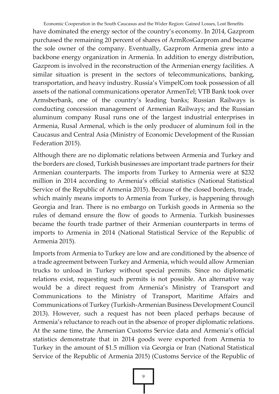Economic Cooperation in the South Caucasus and the Wider Region: Gained Losses, Lost Benefits have dominated the energy sector of the country's economy. In 2014, Gazprom purchased the remaining 20 percent of shares of ArmRosGazprom and became the sole owner of the company. Eventually, Gazprom Armenia grew into a backbone energy organization in Armenia. In addition to energy distribution, Gazprom is involved in the reconstruction of the Armenian energy facilities. A similar situation is present in the sectors of telecommunications, banking, transportation, and heavy industry. Russia's VimpelCom took possession of all assets of the national communications operator ArmenTel; VTB Bank took over Armsberbank, one of the country's leading banks; Russian Railways is conducting concession management of Armenian Railways; and the Russian aluminum company Rusal runs one of the largest industrial enterprises in Armenia, Rusal Armenal, which is the only producer of aluminum foil in the Caucasus and Central Asia (Ministry of Economic Development of the Russian Federation 2015).

Although there are no diplomatic relations between Armenia and Turkey and the borders are closed, Turkish businesses are important trade partners for their Armenian counterparts. The imports from Turkey to Armenia were at \$232 million in 2014 according to Armenia's official statistics (National Statistical Service of the Republic of Armenia 2015). Because of the closed borders, trade, which mainly means imports to Armenia from Turkey, is happening through Georgia and Iran. There is no embargo on Turkish goods in Armenia so the rules of demand ensure the flow of goods to Armenia. Turkish businesses became the fourth trade partner of their Armenian counterparts in terms of imports to Armenia in 2014 (National Statistical Service of the Republic of Armenia 2015).

Imports from Armenia to Turkey are low and are conditioned by the absence of a trade agreement between Turkey and Armenia, which would allow Armenian trucks to unload in Turkey without special permits. Since no diplomatic relations exist, requesting such permits is not possible. An alternative way would be a direct request from Armenia's Ministry of Transport and Communications to the Ministry of Transport, Maritime Affairs and Communications of Turkey (Turkish-Armenian Business Development Council 2013). However, such a request has not been placed perhaps because of Armenia's reluctance to reach out in the absence of proper diplomatic relations. At the same time, the Armenian Customs Service data and Armenia's official statistics demonstrate that in 2014 goods were exported from Armenia to Turkey in the amount of \$1.5 million via Georgia or Iran (National Statistical Service of the Republic of Armenia 2015) (Customs Service of the Republic of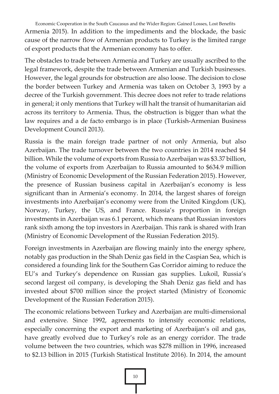Economic Cooperation in the South Caucasus and the Wider Region: Gained Losses, Lost Benefits Armenia 2015). In addition to the impediments and the blockade, the basic cause of the narrow flow of Armenian products to Turkey is the limited range of export products that the Armenian economy has to offer.

The obstacles to trade between Armenia and Turkey are usually ascribed to the legal framework, despite the trade between Armenian and Turkish businesses. However, the legal grounds for obstruction are also loose. The decision to close the border between Turkey and Armenia was taken on October 3, 1993 by a decree of the Turkish government. This decree does not refer to trade relations in general; it only mentions that Turkey will halt the transit of humanitarian aid across its territory to Armenia. Thus, the obstruction is bigger than what the law requires and a de facto embargo is in place (Turkish-Armenian Business Development Council 2013).

Russia is the main foreign trade partner of not only Armenia, but also Azerbaijan. The trade turnover between the two countries in 2014 reached \$4 billion. While the volume of exports from Russia to Azerbaijan was \$3.37 billion, the volume of exports from Azerbaijan to Russia amounted to \$634.9 million (Ministry of Economic Development of the Russian Federation 2015). However, the presence of Russian business capital in Azerbaijan's economy is less significant than in Armenia's economy. In 2014, the largest shares of foreign investments into Azerbaijan's economy were from the United Kingdom (UK), Norway, Turkey, the US, and France. Russia's proportion in foreign investments in Azerbaijan was 6.1 percent, which means that Russian investors rank sixth among the top investors in Azerbaijan. This rank is shared with Iran (Ministry of Economic Development of the Russian Federation 2015).

Foreign investments in Azerbaijan are flowing mainly into the energy sphere, notably gas production in the Shah Deniz gas field in the Caspian Sea, which is considered a founding link for the Southern Gas Corridor aiming to reduce the EU's and Turkey's dependence on Russian gas supplies. Lukoil, Russia's second largest oil company, is developing the Shah Deniz gas field and has invested about \$700 million since the project started (Ministry of Economic Development of the Russian Federation 2015).

The economic relations between Turkey and Azerbaijan are multi-dimensional and extensive. Since 1992, agreements to intensify economic relations, especially concerning the export and marketing of Azerbaijan's oil and gas, have greatly evolved due to Turkey's role as an energy corridor. The trade volume between the two countries, which was \$278 million in 1996, increased to \$2.13 billion in 2015 (Turkish Statistical Institute 2016). In 2014, the amount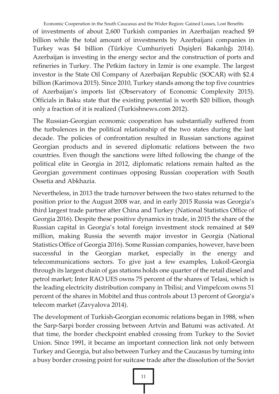Economic Cooperation in the South Caucasus and the Wider Region: Gained Losses, Lost Benefits of investments of about 2,600 Turkish companies in Azerbaijan reached \$9 billion while the total amount of investments by Azerbaijani companies in Turkey was \$4 billion (Türkiye Cumhuriyeti Dışişleri Bakanlığı 2014). Azerbaijan is investing in the energy sector and the construction of ports and refineries in Turkey. The Petkim factory in Izmir is one example. The largest investor is the State Oil Company of Azerbaijan Republic (SOCAR) with \$2.4 billion (Karimova 2015). Since 2010, Turkey stands among the top five countries of Azerbaijan's imports list (Observatory of Economic Complexity 2015). Officials in Baku state that the existing potential is worth \$20 billion, though only a fraction of it is realized (Turkishnews.com 2012).

The Russian-Georgian economic cooperation has substantially suffered from the turbulences in the political relationship of the two states during the last decade. The policies of confrontation resulted in Russian sanctions against Georgian products and in severed diplomatic relations between the two countries. Even though the sanctions were lifted following the change of the political elite in Georgia in 2012, diplomatic relations remain halted as the Georgian government continues opposing Russian cooperation with South Ossetia and Abkhazia.

Nevertheless, in 2013 the trade turnover between the two states returned to the position prior to the August 2008 war, and in early 2015 Russia was Georgia's third largest trade partner after China and Turkey (National Statistics Office of Georgia 2016). Despite these positive dynamics in trade, in 2015 the share of the Russian capital in Georgia's total foreign investment stock remained at \$49 million, making Russia the seventh major investor in Georgia (National Statistics Office of Georgia 2016). Some Russian companies, however, have been successful in the Georgian market, especially in the energy and telecommunications sectors. To give just a few examples, Lukoil-Georgia through its largest chain of gas stations holds one quarter of the retail diesel and petrol market; Inter RAO UES owns 75 percent of the shares of Telasi, which is the leading electricity distribution company in Tbilisi; and Vimpelcom owns 51 percent of the shares in Mobitel and thus controls about 13 percent of Georgia's telecom market (Zavyalova 2014).

The development of Turkish-Georgian economic relations began in 1988, when the Sarp-Sarpi border crossing between Artvin and Batumi was activated. At that time, the border checkpoint enabled crossing from Turkey to the Soviet Union. Since 1991, it became an important connection link not only between Turkey and Georgia, but also between Turkey and the Caucasus by turning into a busy border crossing point for suitcase trade after the dissolution of the Soviet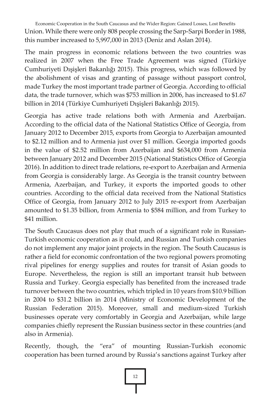Economic Cooperation in the South Caucasus and the Wider Region: Gained Losses, Lost Benefits Union. While there were only 808 people crossing the Sarp-Sarpi Border in 1988, this number increased to 5,997,000 in 2013 (Deniz and Aslan 2014).

The main progress in economic relations between the two countries was realized in 2007 when the Free Trade Agreement was signed (Türkiye Cumhuriyeti Dışişleri Bakanlığı 2015). This progress, which was followed by the abolishment of visas and granting of passage without passport control, made Turkey the most important trade partner of Georgia. According to official data, the trade turnover, which was \$753 million in 2006, has increased to \$1.67 billion in 2014 (Türkiye Cumhuriyeti Dışişleri Bakanlığı 2015).

Georgia has active trade relations both with Armenia and Azerbaijan. According to the official data of the National Statistics Office of Georgia, from January 2012 to December 2015, exports from Georgia to Azerbaijan amounted to \$2.12 million and to Armenia just over \$1 million. Georgia imported goods in the value of \$2.52 million from Azerbaijan and \$634,000 from Armenia between January 2012 and December 2015 (National Statistics Office of Georgia 2016). In addition to direct trade relations, re-export to Azerbaijan and Armenia from Georgia is considerably large. As Georgia is the transit country between Armenia, Azerbaijan, and Turkey, it exports the imported goods to other countries. According to the official data received from the National Statistics Office of Georgia, from January 2012 to July 2015 re-export from Azerbaijan amounted to \$1.35 billion, from Armenia to \$584 million, and from Turkey to \$41 million.

The South Caucasus does not play that much of a significant role in Russian-Turkish economic cooperation as it could, and Russian and Turkish companies do not implement any major joint projects in the region. The South Caucasus is rather a field for economic confrontation of the two regional powers promoting rival pipelines for energy supplies and routes for transit of Asian goods to Europe. Nevertheless, the region is still an important transit hub between Russia and Turkey. Georgia especially has benefited from the increased trade turnover between the two countries, which tripled in 10 years from \$10.9 billion in 2004 to \$31.2 billion in 2014 (Ministry of Economic Development of the Russian Federation 2015). Moreover, small and medium-sized Turkish businesses operate very comfortably in Georgia and Azerbaijan, while large companies chiefly represent the Russian business sector in these countries (and also in Armenia).

Recently, though, the "era" of mounting Russian-Turkish economic cooperation has been turned around by Russia's sanctions against Turkey after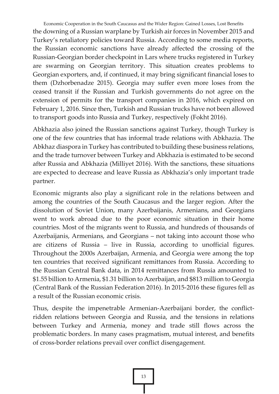Economic Cooperation in the South Caucasus and the Wider Region: Gained Losses, Lost Benefits the downing of a Russian warplane by Turkish air forces in November 2015 and Turkey's retaliatory policies toward Russia. According to some media reports, the Russian economic sanctions have already affected the crossing of the Russian-Georgian border checkpoint in Lars where trucks registered in Turkey are swarming on Georgian territory. This situation creates problems to Georgian exporters, and, if continued, it may bring significant financial loses to them (Dzhorbenadze 2015). Georgia may suffer even more loses from the ceased transit if the Russian and Turkish governments do not agree on the extension of permits for the transport companies in 2016, which expired on February 1, 2016. Since then, Turkish and Russian trucks have not been allowed to transport goods into Russia and Turkey, respectively (Fokht 2016).

Abkhazia also joined the Russian sanctions against Turkey, though Turkey is one of the few countries that has informal trade relations with Abkhazia. The Abkhaz diaspora in Turkey has contributed to building these business relations, and the trade turnover between Turkey and Abkhazia is estimated to be second after Russia and Abkhazia (Milliyet 2016). With the sanctions, these situations are expected to decrease and leave Russia as Abkhazia's only important trade partner.

Economic migrants also play a significant role in the relations between and among the countries of the South Caucasus and the larger region. After the dissolution of Soviet Union, many Azerbaijanis, Armenians, and Georgians went to work abroad due to the poor economic situation in their home countries. Most of the migrants went to Russia, and hundreds of thousands of Azerbaijanis, Armenians, and Georgians – not taking into account those who are citizens of Russia – live in Russia, according to unofficial figures. Throughout the 2000s Azerbaijan, Armenia, and Georgia were among the top ten countries that received significant remittances from Russia. According to the Russian Central Bank data, in 2014 remittances from Russia amounted to \$1.55 billion to Armenia, \$1.31 billion to Azerbaijan, and \$813 million to Georgia (Central Bank of the Russian Federation 2016). In 2015-2016 these figures fell as a result of the Russian economic crisis.

Thus, despite the impenetrable Armenian-Azerbaijani border, the conflictridden relations between Georgia and Russia, and the tensions in relations between Turkey and Armenia, money and trade still flows across the problematic borders. In many cases pragmatism, mutual interest, and benefits of cross-border relations prevail over conflict disengagement.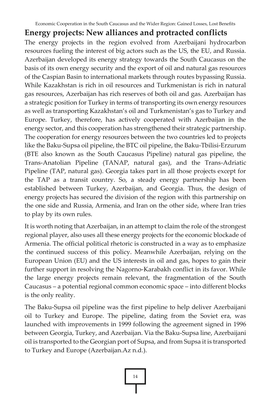#### **Energy projects: New alliances and protracted conflicts**

The energy projects in the region evolved from Azerbaijani hydrocarbon resources fueling the interest of big actors such as the US, the EU, and Russia. Azerbaijan developed its energy strategy towards the South Caucasus on the basis of its own energy security and the export of oil and natural gas resources of the Caspian Basin to international markets through routes bypassing Russia. While Kazakhstan is rich in oil resources and Turkmenistan is rich in natural gas resources, Azerbaijan has rich reserves of both oil and gas. Azerbaijan has a strategic position for Turkey in terms of transporting its own energy resources as well as transporting Kazakhstan's oil and Turkmenistan's gas to Turkey and Europe. Turkey, therefore, has actively cooperated with Azerbaijan in the energy sector, and this cooperation has strengthened their strategic partnership. The cooperation for energy resources between the two countries led to projects like the Baku-Supsa oil pipeline, the BTC oil pipeline, the Baku-Tbilisi-Erzurum (BTE also known as the South Caucasus Pipeline) natural gas pipeline, the Trans-Anatolian Pipeline (TANAP, natural gas), and the Trans-Adriatic Pipeline (TAP, natural gas). Georgia takes part in all those projects except for the TAP as a transit country. So, a steady energy partnership has been established between Turkey, Azerbaijan, and Georgia. Thus, the design of energy projects has secured the division of the region with this partnership on the one side and Russia, Armenia, and Iran on the other side, where Iran tries to play by its own rules.

It is worth noting that Azerbaijan, in an attempt to claim the role of the strongest regional player, also uses all these energy projects for the economic blockade of Armenia. The official political rhetoric is constructed in a way as to emphasize the continued success of this policy. Meanwhile Azerbaijan, relying on the European Union (EU) and the US interests in oil and gas, hopes to gain their further support in resolving the Nagorno-Karabakh conflict in its favor. While the large energy projects remain relevant, the fragmentation of the South Caucasus – a potential regional common economic space – into different blocks is the only reality.

The Baku-Supsa oil pipeline was the first pipeline to help deliver Azerbaijani oil to Turkey and Europe. The pipeline, dating from the Soviet era, was launched with improvements in 1999 following the agreement signed in 1996 between Georgia, Turkey, and Azerbaijan. Via the Baku-Supsa line, Azerbaijani oil is transported to the Georgian port of Supsa, and from Supsa it is transported to Turkey and Europe (Azerbaijan.Az n.d.).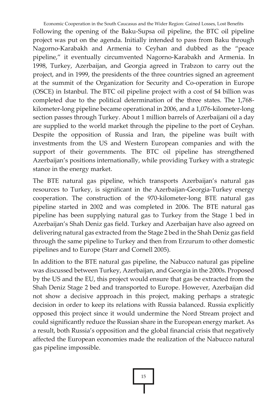Economic Cooperation in the South Caucasus and the Wider Region: Gained Losses, Lost Benefits

Following the opening of the Baku-Supsa oil pipeline, the BTC oil pipeline project was put on the agenda. Initially intended to pass from Baku through Nagorno-Karabakh and Armenia to Ceyhan and dubbed as the "peace pipeline," it eventually circumvented Nagorno-Karabakh and Armenia. In 1998, Turkey, Azerbaijan, and Georgia agreed in Trabzon to carry out the project, and in 1999, the presidents of the three countries signed an agreement at the summit of the Organization for Security and Co-operation in Europe (OSCE) in Istanbul. The BTC oil pipeline project with a cost of \$4 billion was completed due to the political determination of the three states. The 1,768 kilometer-long pipeline became operational in 2006, and a 1,076-kilometer-long section passes through Turkey. About 1 million barrels of Azerbaijani oil a day are supplied to the world market through the pipeline to the port of Ceyhan. Despite the opposition of Russia and Iran, the pipeline was built with investments from the US and Western European companies and with the support of their governments. The BTC oil pipeline has strengthened Azerbaijan's positions internationally, while providing Turkey with a strategic stance in the energy market.

The BTE natural gas pipeline, which transports Azerbaijan's natural gas resources to Turkey, is significant in the Azerbaijan-Georgia-Turkey energy cooperation. The construction of the 970-kilometer-long BTE natural gas pipeline started in 2002 and was completed in 2006. The BTE natural gas pipeline has been supplying natural gas to Turkey from the Stage 1 bed in Azerbaijan's Shah Deniz gas field. Turkey and Azerbaijan have also agreed on delivering natural gas extracted from the Stage 2 bed in the Shah Deniz gas field through the same pipeline to Turkey and then from Erzurum to other domestic pipelines and to Europe (Starr and Cornell 2005).

In addition to the BTE natural gas pipeline, the Nabucco natural gas pipeline was discussed between Turkey, Azerbaijan, and Georgia in the 2000s. Proposed by the US and the EU, this project would ensure that gas be extracted from the Shah Deniz Stage 2 bed and transported to Europe. However, Azerbaijan did not show a decisive approach in this project, making perhaps a strategic decision in order to keep its relations with Russia balanced. Russia explicitly opposed this project since it would undermine the Nord Stream project and could significantly reduce the Russian share in the European energy market. As a result, both Russia's opposition and the global financial crisis that negatively affected the European economies made the realization of the Nabucco natural gas pipeline impossible.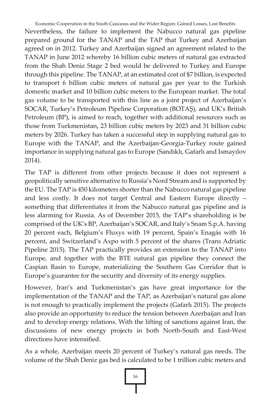Economic Cooperation in the South Caucasus and the Wider Region: Gained Losses, Lost Benefits Nevertheless, the failure to implement the Nabucco natural gas pipeline prepared ground for the TANAP and the TAP that Turkey and Azerbaijan agreed on in 2012. Turkey and Azerbaijan signed an agreement related to the TANAP in June 2012 whereby 16 billion cubic meters of natural gas extracted from the Shah Deniz Stage 2 bed would be delivered to Turkey and Europe through this pipeline. The TANAP, at an estimated cost of \$7 billion, is expected to transport 6 billion cubic meters of natural gas per year to the Turkish domestic market and 10 billion cubic meters to the European market. The total gas volume to be transported with this line as a joint project of Azerbaijan's SOCAR, Turkey's Petroleum Pipeline Corporation (BOTAŞ), and UK's British Petroleum (BP), is aimed to reach, together with additional resources such as those from Turkmenistan, 23 billion cubic meters by 2023 and 31 billion cubic meters by 2026. Turkey has taken a successful step in supplying natural gas to Europe with the TANAP, and the Azerbaijan-Georgia-Turkey route gained importance in supplying natural gas to Europe (Sandıklı, Gafarlı and Ismayılov 2014).

The TAP is different from other projects because it does not represent a geopolitically sensitive alternative to Russia's Nord Stream and is supported by the EU. The TAP is 450 kilometers shorter than the Nabucco natural gas pipeline and less costly. It does not target Central and Eastern Europe directly – something that differentiates it from the Nabucco natural gas pipeline and is less alarming for Russia. As of December 2015, the TAP's shareholding is be comprised of the UK's BP, Azerbaijan's SOCAR, and Italy's Snam S.p.A. having 20 percent each, Belgium's Fluxys with 19 percent, Spain's Enagás with 16 percent, and Switzerland's Axpo with 5 percent of the shares (Trans Adriatic Pipeline 2015). The TAP practically provides an extension to the TANAP into Europe, and together with the BTE natural gas pipeline they connect the Caspian Basin to Europe, materializing the Southern Gas Corridor that is Europe's guarantee for the security and diversity of its energy supplies.

However, Iran's and Turkmenistan's gas have great importance for the implementation of the TANAP and the TAP, as Azerbaijan's natural gas alone is not enough to practically implement the projects (Gafarlı 2015). The projects also provide an opportunity to reduce the tension between Azerbaijan and Iran and to develop energy relations. With the lifting of sanctions against Iran, the discussions of new energy projects in both North-South and East-West directions have intensified.

As a whole, Azerbaijan meets 20 percent of Turkey's natural gas needs. The volume of the Shah Deniz gas bed is calculated to be 1 trillion cubic meters and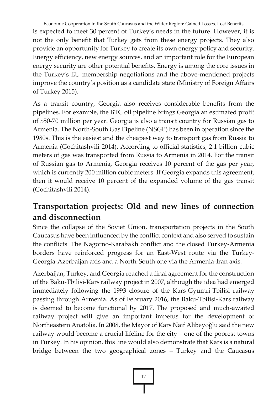Economic Cooperation in the South Caucasus and the Wider Region: Gained Losses, Lost Benefits is expected to meet 30 percent of Turkey's needs in the future. However, it is not the only benefit that Turkey gets from these energy projects. They also provide an opportunity for Turkey to create its own energy policy and security. Energy efficiency, new energy sources, and an important role for the European energy security are other potential benefits. Energy is among the core issues in the Turkey's EU membership negotiations and the above-mentioned projects improve the country's position as a candidate state (Ministry of Foreign Affairs of Turkey 2015).

As a transit country, Georgia also receives considerable benefits from the pipelines. For example, the BTC oil pipeline brings Georgia an estimated profit of \$50-70 million per year. Georgia is also a transit country for Russian gas to Armenia. The North-South Gas Pipeline (NSGP) has been in operation since the 1980s. This is the easiest and the cheapest way to transport gas from Russia to Armenia (Gochitashvili 2014). According to official statistics, 2.1 billion cubic meters of gas was transported from Russia to Armenia in 2014. For the transit of Russian gas to Armenia, Georgia receives 10 percent of the gas per year, which is currently 200 million cubic meters. If Georgia expands this agreement, then it would receive 10 percent of the expanded volume of the gas transit (Gochitashvili 2014).

# **Transportation projects: Old and new lines of connection and disconnection**

Since the collapse of the Soviet Union, transportation projects in the South Caucasus have been influenced by the conflict context and also served to sustain the conflicts. The Nagorno-Karabakh conflict and the closed Turkey-Armenia borders have reinforced progress for an East-West route via the Turkey-Georgia-Azerbaijan axis and a North-South one via the Armenia-Iran axis.

Azerbaijan, Turkey, and Georgia reached a final agreement for the construction of the Baku-Tbilisi-Kars railway project in 2007, although the idea had emerged immediately following the 1993 closure of the Kars-Gyumri-Tbilisi railway passing through Armenia. As of February 2016, the Baku-Tbilisi-Kars railway is deemed to become functional by 2017. The proposed and much-awaited railway project will give an important impetus for the development of Northeastern Anatolia. In 2008, the Mayor of Kars Naif Alibeyoğlu said the new railway would become a crucial lifeline for the city – one of the poorest towns in Turkey. In his opinion, this line would also demonstrate that Kars is a natural bridge between the two geographical zones – Turkey and the Caucasus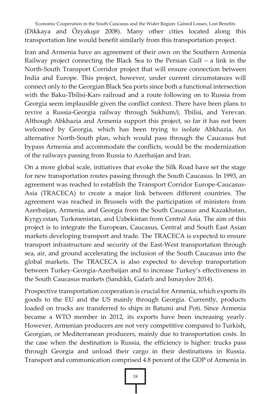Economic Cooperation in the South Caucasus and the Wider Region: Gained Losses, Lost Benefits (Dikkaya and Özyakışır 2008). Many other cities located along this transportation line would benefit similarly from this transportation project.

Iran and Armenia have an agreement of their own on the Southern Armenia Railway project connecting the Black Sea to the Persian Gulf – a link in the North-South Transport Corridor project that will ensure connection between India and Europe. This project, however, under current circumstances will connect only to the Georgian Black Sea ports since both a functional intersection with the Baku-Tbilisi-Kars railroad and a route following on to Russia from Georgia seem implausible given the conflict context. There have been plans to revive a Russia-Georgia railway through Sukhum/i, Tbilisi, and Yerevan. Although Abkhazia and Armenia support this project, so far it has not been welcomed by Georgia, which has been trying to isolate Abkhazia. An alternative North-South plan, which would pass through the Caucasus but bypass Armenia and accommodate the conflicts, would be the modernization of the railways passing from Russia to Azerbaijan and Iran.

On a more global scale, initiatives that evoke the Silk Road have set the stage for new transportation routes passing through the South Caucasus. In 1993, an agreement was reached to establish the Transport Corridor Europe-Caucasus-Asia (TRACECA) to create a major link between different countries. The agreement was reached in Brussels with the participation of ministers from Azerbaijan, Armenia, and Georgia from the South Caucasus and Kazakhstan, Kyrgyzstan, Turkmenistan, and Uzbekistan from Central Asia. The aim of this project is to integrate the European, Caucasus, Central and South East Asian markets developing transport and trade. The TRACECA is expected to ensure transport infrastructure and security of the East-West transportation through sea, air, and ground accelerating the inclusion of the South Caucasus into the global markets. The TRACECA is also expected to develop transportation between Turkey-Georgia-Azerbaijan and to increase Turkey's effectiveness in the South Caucasus markets (Sandıklı, Gafarlı and Ismayılov 2014).

Prospective transportation cooperation is crucial for Armenia, which exports its goods to the EU and the US mainly through Georgia. Currently, products loaded on trucks are transferred to ships in Batumi and Poti. Since Armenia became a WTO member in 2012, its exports have been increasing yearly. However, Armenian producers are not very competitive compared to Turkish, Georgian, or Mediterranean producers, mainly due to transportation costs. In the case when the destination is Russia, the efficiency is higher: trucks pass through Georgia and unload their cargo in their destinations in Russia. Transport and communication comprised 4.8 percent of the GDP of Armenia in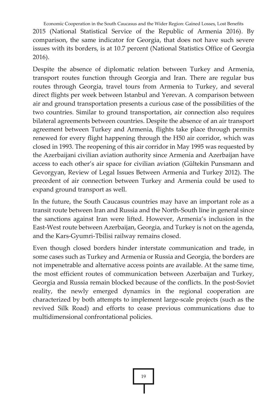Economic Cooperation in the South Caucasus and the Wider Region: Gained Losses, Lost Benefits 2015 (National Statistical Service of the Republic of Armenia 2016). By comparison, the same indicator for Georgia, that does not have such severe issues with its borders, is at 10.7 percent (National Statistics Office of Georgia 2016).

Despite the absence of diplomatic relation between Turkey and Armenia, transport routes function through Georgia and Iran. There are regular bus routes through Georgia, travel tours from Armenia to Turkey, and several direct flights per week between Istanbul and Yerevan. A comparison between air and ground transportation presents a curious case of the possibilities of the two countries. Similar to ground transportation, air connection also requires bilateral agreements between countries. Despite the absence of an air transport agreement between Turkey and Armenia, flights take place through permits renewed for every flight happening through the H50 air corridor, which was closed in 1993. The reopening of this air corridor in May 1995 was requested by the Azerbaijani civilian aviation authority since Armenia and Azerbaijan have access to each other's air space for civilian aviation (Gültekin Punsmann and Gevorgyan, Review of Legal Issues Between Armenia and Turkey 2012). The precedent of air connection between Turkey and Armenia could be used to expand ground transport as well.

In the future, the South Caucasus countries may have an important role as a transit route between Iran and Russia and the North-South line in general since the sanctions against Iran were lifted. However, Armenia's inclusion in the East-West route between Azerbaijan, Georgia, and Turkey is not on the agenda, and the Kars-Gyumri-Tbilisi railway remains closed.

Even though closed borders hinder interstate communication and trade, in some cases such as Turkey and Armenia or Russia and Georgia, the borders are not impenetrable and alternative access points are available. At the same time, the most efficient routes of communication between Azerbaijan and Turkey, Georgia and Russia remain blocked because of the conflicts. In the post-Soviet reality, the newly emerged dynamics in the regional cooperation are characterized by both attempts to implement large-scale projects (such as the revived Silk Road) and efforts to cease previous communications due to multidimensional confrontational policies.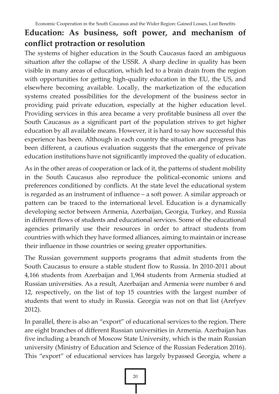## **Education: As business, soft power, and mechanism of conflict protraction or resolution**

The systems of higher education in the South Caucasus faced an ambiguous situation after the collapse of the USSR. A sharp decline in quality has been visible in many areas of education, which led to a brain drain from the region with opportunities for getting high-quality education in the EU, the US, and elsewhere becoming available. Locally, the marketization of the education systems created possibilities for the development of the business sector in providing paid private education, especially at the higher education level. Providing services in this area became a very profitable business all over the South Caucasus as a significant part of the population strives to get higher education by all available means. However, it is hard to say how successful this experience has been. Although in each country the situation and progress has been different, a cautious evaluation suggests that the emergence of private education institutions have not significantly improved the quality of education.

As in the other areas of cooperation or lack of it, the patterns of student mobility in the South Caucasus also reproduce the political-economic unions and preferences conditioned by conflicts. At the state level the educational system is regarded as an instrument of influence – a soft power. A similar approach or pattern can be traced to the international level. Education is a dynamically developing sector between Armenia, Azerbaijan, Georgia, Turkey, and Russia in different flows of students and educational services. Some of the educational agencies primarily use their resources in order to attract students from countries with which they have formed alliances, aiming to maintain or increase their influence in those countries or seeing greater opportunities.

The Russian government supports programs that admit students from the South Caucasus to ensure a stable student flow to Russia. In 2010-2011 about 4,166 students from Azerbaijan and 1,964 students from Armenia studied at Russian universities. As a result, Azerbaijan and Armenia were number 6 and 12, respectively, on the list of top 15 countries with the largest number of students that went to study in Russia. Georgia was not on that list (Arefyev 2012).

In parallel, there is also an "export" of educational services to the region. There are eight branches of different Russian universities in Armenia. Azerbaijan has five including a branch of Moscow State University, which is the main Russian university (Ministry of Education and Science of the Russian Federation 2016). This "export" of educational services has largely bypassed Georgia, where a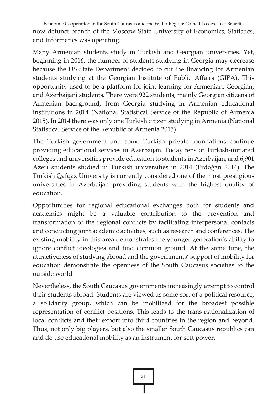Economic Cooperation in the South Caucasus and the Wider Region: Gained Losses, Lost Benefits now defunct branch of the Moscow State University of Economics, Statistics, and Informatics was operating.

Many Armenian students study in Turkish and Georgian universities. Yet, beginning in 2016, the number of students studying in Georgia may decrease because the US State Department decided to cut the financing for Armenian students studying at the Georgian Institute of Public Affairs (GIPA). This opportunity used to be a platform for joint learning for Armenian, Georgian, and Azerbaijani students. There were 922 students, mainly Georgian citizens of Armenian background, from Georgia studying in Armenian educational institutions in 2014 (National Statistical Service of the Republic of Armenia 2015). In 2014 there was only one Turkish citizen studying in Armenia (National Statistical Service of the Republic of Armenia 2015).

The Turkish government and some Turkish private foundations continue providing educational services in Azerbaijan. Today tens of Turkish-initiated colleges and universities provide education to students in Azerbaijan, and 6,901 Azeri students studied in Turkish universities in 2014 (Erdoğan 2014). The Turkish Qafqaz University is currently considered one of the most prestigious universities in Azerbaijan providing students with the highest quality of education.

Opportunities for regional educational exchanges both for students and academics might be a valuable contribution to the prevention and transformation of the regional conflicts by facilitating interpersonal contacts and conducting joint academic activities, such as research and conferences. The existing mobility in this area demonstrates the younger generation's ability to ignore conflict ideologies and find common ground. At the same time, the attractiveness of studying abroad and the governments' support of mobility for education demonstrate the openness of the South Caucasus societies to the outside world.

Nevertheless, the South Caucasus governments increasingly attempt to control their students abroad. Students are viewed as some sort of a political resource, a solidarity group, which can be mobilized for the broadest possible representation of conflict positions. This leads to the trans-nationalization of local conflicts and their export into third countries in the region and beyond. Thus, not only big players, but also the smaller South Caucasus republics can and do use educational mobility as an instrument for soft power.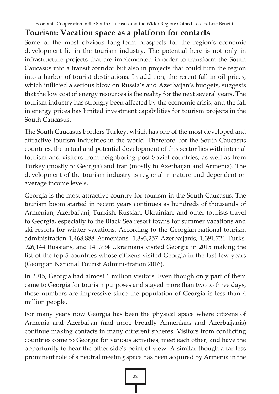#### **Tourism: Vacation space as a platform for contacts**

Some of the most obvious long-term prospects for the region's economic development lie in the tourism industry. The potential here is not only in infrastructure projects that are implemented in order to transform the South Caucasus into a transit corridor but also in projects that could turn the region into a harbor of tourist destinations. In addition, the recent fall in oil prices, which inflicted a serious blow on Russia's and Azerbaijan's budgets, suggests that the low cost of energy resources is the reality for the next several years. The tourism industry has strongly been affected by the economic crisis, and the fall in energy prices has limited investment capabilities for tourism projects in the South Caucasus.

The South Caucasus borders Turkey, which has one of the most developed and attractive tourism industries in the world. Therefore, for the South Caucasus countries, the actual and potential development of this sector lies with internal tourism and visitors from neighboring post-Soviet countries, as well as from Turkey (mostly to Georgia) and Iran (mostly to Azerbaijan and Armenia). The development of the tourism industry is regional in nature and dependent on average income levels.

Georgia is the most attractive country for tourism in the South Caucasus. The tourism boom started in recent years continues as hundreds of thousands of Armenian, Azerbaijani, Turkish, Russian, Ukrainian, and other tourists travel to Georgia, especially to the Black Sea resort towns for summer vacations and ski resorts for winter vacations. According to the Georgian national tourism administration 1,468,888 Armenians, 1,393,257 Azerbaijanis, 1,391,721 Turks, 926,144 Russians, and 141,734 Ukrainians visited Georgia in 2015 making the list of the top 5 countries whose citizens visited Georgia in the last few years (Georgian National Tourist Administration 2016).

In 2015, Georgia had almost 6 million visitors. Even though only part of them came to Georgia for tourism purposes and stayed more than two to three days, these numbers are impressive since the population of Georgia is less than 4 million people.

For many years now Georgia has been the physical space where citizens of Armenia and Azerbaijan (and more broadly Armenians and Azerbaijanis) continue making contacts in many different spheres. Visitors from conflicting countries come to Georgia for various activities, meet each other, and have the opportunity to hear the other side's point of view. A similar though a far less prominent role of a neutral meeting space has been acquired by Armenia in the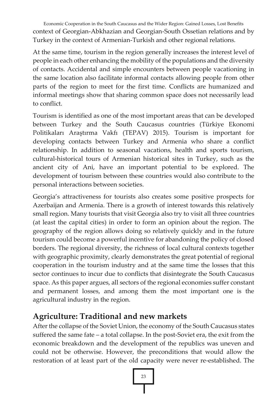Economic Cooperation in the South Caucasus and the Wider Region: Gained Losses, Lost Benefits context of Georgian-Abkhazian and Georgian-South Ossetian relations and by Turkey in the context of Armenian-Turkish and other regional relations.

At the same time, tourism in the region generally increases the interest level of people in each other enhancing the mobility of the populations and the diversity of contacts. Accidental and simple encounters between people vacationing in the same location also facilitate informal contacts allowing people from other parts of the region to meet for the first time. Conflicts are humanized and informal meetings show that sharing common space does not necessarily lead to conflict.

Tourism is identified as one of the most important areas that can be developed between Turkey and the South Caucasus countries (Türkiye Ekonomi Politikaları Araştırma Vakfı (TEPAV) 2015). Tourism is important for developing contacts between Turkey and Armenia who share a conflict relationship. In addition to seasonal vacations, health and sports tourism, cultural-historical tours of Armenian historical sites in Turkey, such as the ancient city of Ani, have an important potential to be explored. The development of tourism between these countries would also contribute to the personal interactions between societies.

Georgia's attractiveness for tourists also creates some positive prospects for Azerbaijan and Armenia. There is a growth of interest towards this relatively small region. Many tourists that visit Georgia also try to visit all three countries (at least the capital cities) in order to form an opinion about the region. The geography of the region allows doing so relatively quickly and in the future tourism could become a powerful incentive for abandoning the policy of closed borders. The regional diversity, the richness of local cultural contexts together with geographic proximity, clearly demonstrates the great potential of regional cooperation in the tourism industry and at the same time the losses that this sector continues to incur due to conflicts that disintegrate the South Caucasus space. As this paper argues, all sectors of the regional economies suffer constant and permanent losses, and among them the most important one is the agricultural industry in the region.

#### **Agriculture: Traditional and new markets**

After the collapse of the Soviet Union, the economy of the South Caucasus states suffered the same fate – a total collapse. In the post-Soviet era, the exit from the economic breakdown and the development of the republics was uneven and could not be otherwise. However, the preconditions that would allow the restoration of at least part of the old capacity were never re-established. The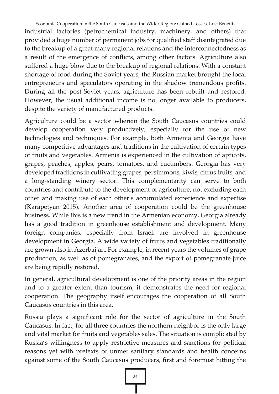Economic Cooperation in the South Caucasus and the Wider Region: Gained Losses, Lost Benefits industrial factories (petrochemical industry, machinery, and others) that provided a huge number of permanent jobs for qualified staff disintegrated due to the breakup of a great many regional relations and the interconnectedness as a result of the emergence of conflicts, among other factors. Agriculture also suffered a huge blow due to the breakup of regional relations. With a constant shortage of food during the Soviet years, the Russian market brought the local entrepreneurs and speculators operating in the shadow tremendous profits. During all the post-Soviet years, agriculture has been rebuilt and restored. However, the usual additional income is no longer available to producers, despite the variety of manufactured products.

Agriculture could be a sector wherein the South Caucasus countries could develop cooperation very productively, especially for the use of new technologies and techniques. For example, both Armenia and Georgia have many competitive advantages and traditions in the cultivation of certain types of fruits and vegetables. Armenia is experienced in the cultivation of apricots, grapes, peaches, apples, pears, tomatoes, and cucumbers. Georgia has very developed traditions in cultivating grapes, persimmons, kiwis, citrus fruits, and a long-standing winery sector. This complementarity can serve to both countries and contribute to the development of agriculture, not excluding each other and making use of each other's accumulated experience and expertise (Karapetyan 2015). Another area of cooperation could be the greenhouse business. While this is a new trend in the Armenian economy, Georgia already has a good tradition in greenhouse establishment and development. Many foreign companies, especially from Israel, are involved in greenhouse development in Georgia. A wide variety of fruits and vegetables traditionally are grown also in Azerbaijan. For example, in recent years the volumes of grape production, as well as of pomegranates, and the export of pomegranate juice are being rapidly restored.

In general, agricultural development is one of the priority areas in the region and to a greater extent than tourism, it demonstrates the need for regional cooperation. The geography itself encourages the cooperation of all South Caucasus countries in this area.

Russia plays a significant role for the sector of agriculture in the South Caucasus. In fact, for all three countries the northern neighbor is the only large and vital market for fruits and vegetables sales. The situation is complicated by Russia's willingness to apply restrictive measures and sanctions for political reasons yet with pretexts of unmet sanitary standards and health concerns against some of the South Caucasus producers, first and foremost hitting the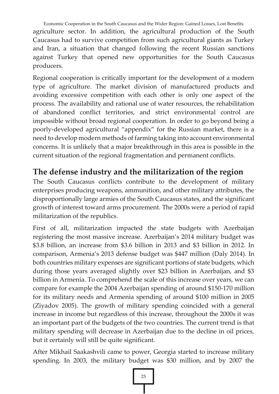Economic Cooperation in the South Caucasus and the Wider Region: Gained Losses, Lost Benefits agriculture sector. In addition, the agricultural production of the South Caucasus had to survive competition from such agricultural giants as Turkey and Iran, a situation that changed following the recent Russian sanctions against Turkey that opened new opportunities for the South Caucasus producers.

Regional cooperation is critically important for the development of a modern type of agriculture. The market division of manufactured products and avoiding excessive competition with each other is only one aspect of the process. The availability and rational use of water resources, the rehabilitation of abandoned conflict territories, and strict environmental control are impossible without broad regional cooperation. In order to go beyond being a poorly-developed agricultural "appendix" for the Russian market, there is a need to develop modern methods of farming taking into account environmental concerns. It is unlikely that a major breakthrough in this area is possible in the current situation of the regional fragmentation and permanent conflicts.

### **The defense industry and the militarization of the region**

The South Caucasus conflicts contribute to the development of military enterprises producing weapons, ammunition, and other military attributes, the disproportionally large armies of the South Caucasus states, and the significant growth of interest toward arms procurement. The 2000s were a period of rapid militarization of the republics.

First of all, militarization impacted the state budgets with Azerbaijan registering the most massive increase. Azerbaijan's 2014 military budget was \$3.8 billion, an increase from \$3.6 billion in 2013 and \$3 billion in 2012. In comparison, Armenia's 2013 defense budget was \$447 million (Daly 2014). In both countries military expenses are significant portions of state budgets, which during those years averaged slightly over \$23 billion in Azerbaijan, and \$3 billion in Armenia. To comprehend the scale of this increase over years, we can compare for example the 2004 Azerbaijan spending of around \$150-170 million for its military needs and Armenia spending of around \$100 million in 2005 (Ziyadov 2005). The growth of military spending coincided with a general increase in income but regardless of this increase, throughout the 2000s it was an important part of the budgets of the two countries. The current trend is that military spending will decrease in Azerbaijan due to the decline in oil prices, but it certainly will still be quite significant.

After Mikhail Saakashvili came to power, Georgia started to increase military spending. In 2003, the military budget was \$30 million, and by 2007 the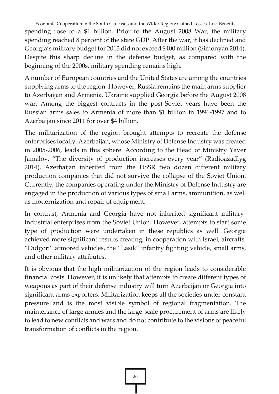Economic Cooperation in the South Caucasus and the Wider Region: Gained Losses, Lost Benefits spending rose to a \$1 billion. Prior to the August 2008 War, the military spending reached 8 percent of the state GDP. After the war, it has declined and Georgia's military budget for 2013 did not exceed \$400 million (Simonyan 2014). Despite this sharp decline in the defense budget, as compared with the beginning of the 2000s, military spending remains high.

A number of European countries and the United States are among the countries supplying arms to the region. However, Russia remains the main arms supplier to Azerbaijan and Armenia. Ukraine supplied Georgia before the August 2008 war. Among the biggest contracts in the post-Soviet years have been the Russian arms sales to Armenia of more than \$1 billion in 1996-1997 and to Azerbaijan since 2011 for over \$4 billion.

The militarization of the region brought attempts to recreate the defense enterprises locally. Azerbaijan, whose Ministry of Defense Industry was created in 2005-2006, leads in this sphere. According to the Head of Ministry Yaver Jamalov, "The diversity of production increases every year" (Radioazadlyg 2014). Azerbaijan inherited from the USSR two dozen different military production companies that did not survive the collapse of the Soviet Union. Currently, the companies operating under the Ministry of Defense Industry are engaged in the production of various types of small arms, ammunition, as well as modernization and repair of equipment.

In contrast, Armenia and Georgia have not inherited significant militaryindustrial enterprises from the Soviet Union. However, attempts to start some type of production were undertaken in these republics as well. Georgia achieved more significant results creating, in cooperation with Israel, aircrafts, "Didgori" armored vehicles, the "Lasik" infantry fighting vehicle, small arms, and other military attributes.

It is obvious that the high militarization of the region leads to considerable financial costs. However, it is unlikely that attempts to create different types of weapons as part of their defense industry will turn Azerbaijan or Georgia into significant arms exporters. Militarization keeps all the societies under constant pressure and is the most visible symbol of regional fragmentation. The maintenance of large armies and the large-scale procurement of arms are likely to lead to new conflicts and wars and do not contribute to the visions of peaceful transformation of conflicts in the region.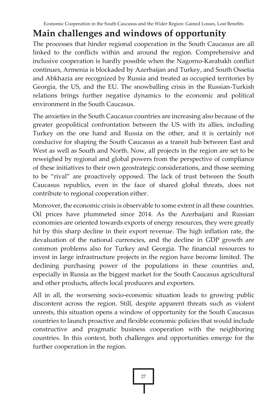# **Main challenges and windows of opportunity**

The processes that hinder regional cooperation in the South Caucasus are all linked to the conflicts within and around the region. Comprehensive and inclusive cooperation is hardly possible when the Nagorno-Karabakh conflict continues, Armenia is blockaded by Azerbaijan and Turkey, and South Ossetia and Abkhazia are recognized by Russia and treated as occupied territories by Georgia, the US, and the EU. The snowballing crisis in the Russian-Turkish relations brings further negative dynamics to the economic and political environment in the South Caucasus.

The anxieties in the South Caucasus countries are increasing also because of the greater geopolitical confrontation between the US with its allies, including Turkey on the one hand and Russia on the other, and it is certainly not conducive for shaping the South Caucasus as a transit hub between East and West as well as South and North. Now, all projects in the region are set to be reweighed by regional and global powers from the perspective of compliance of these initiatives to their own geostrategic considerations, and those seeming to be "rival" are proactively opposed. The lack of trust between the South Caucasus republics, even in the face of shared global threats, does not contribute to regional cooperation either.

Moreover, the economic crisis is observable to some extent in all these countries. Oil prices have plummeted since 2014. As the Azerbaijani and Russian economies are oriented towards exports of energy resources, they were greatly hit by this sharp decline in their export revenue. The high inflation rate, the devaluation of the national currencies, and the decline in GDP growth are common problems also for Turkey and Georgia. The financial resources to invest in large infrastructure projects in the region have become limited. The declining purchasing power of the populations in these countries and, especially in Russia as the biggest market for the South Caucasus agricultural and other products, affects local producers and exporters.

All in all, the worsening socio-economic situation leads to growing public discontent across the region. Still, despite apparent threats such as violent unrests, this situation opens a window of opportunity for the South Caucasus countries to launch proactive and flexible economic policies that would include constructive and pragmatic business cooperation with the neighboring countries. In this context, both challenges and opportunities emerge for the further cooperation in the region.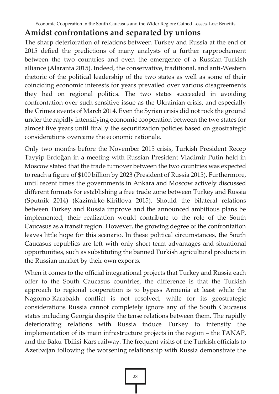#### **Amidst confrontations and separated by unions**

The sharp deterioration of relations between Turkey and Russia at the end of 2015 defied the predictions of many analysts of a further rapprochement between the two countries and even the emergence of a Russian-Turkish alliance (Alaranta 2015). Indeed, the conservative, traditional, and anti-Western rhetoric of the political leadership of the two states as well as some of their coinciding economic interests for years prevailed over various disagreements they had on regional politics. The two states succeeded in avoiding confrontation over such sensitive issue as the Ukrainian crisis, and especially the Crimea events of March 2014. Even the Syrian crisis did not rock the ground under the rapidly intensifying economic cooperation between the two states for almost five years until finally the securitization policies based on geostrategic considerations overcame the economic rationale.

Only two months before the November 2015 crisis, Turkish President Recep Tayyip Erdoğan in a meeting with Russian President Vladimir Putin held in Moscow stated that the trade turnover between the two countries was expected to reach a figure of \$100 billion by 2023 (President of Russia 2015). Furthermore, until recent times the governments in Ankara and Moscow actively discussed different formats for establishing a free trade zone between Turkey and Russia (Sputnik 2014) (Kazimirko-Kirillova 2015). Should the bilateral relations between Turkey and Russia improve and the announced ambitious plans be implemented, their realization would contribute to the role of the South Caucasus as a transit region. However, the growing degree of the confrontation leaves little hope for this scenario. In these political circumstances, the South Caucasus republics are left with only short-term advantages and situational opportunities, such as substituting the banned Turkish agricultural products in the Russian market by their own exports.

When it comes to the official integrational projects that Turkey and Russia each offer to the South Caucasus countries, the difference is that the Turkish approach to regional cooperation is to bypass Armenia at least while the Nagorno-Karabakh conflict is not resolved, while for its geostrategic considerations Russia cannot completely ignore any of the South Caucasus states including Georgia despite the tense relations between them. The rapidly deteriorating relations with Russia induce Turkey to intensify the implementation of its main infrastructure projects in the region – the TANAP, and the Baku-Tbilisi-Kars railway. The frequent visits of the Turkish officials to Azerbaijan following the worsening relationship with Russia demonstrate the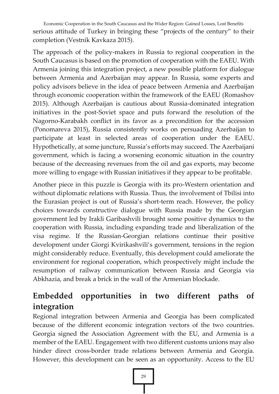Economic Cooperation in the South Caucasus and the Wider Region: Gained Losses, Lost Benefits serious attitude of Turkey in bringing these "projects of the century" to their completion (Vestnik Kavkaza 2015).

The approach of the policy-makers in Russia to regional cooperation in the South Caucasus is based on the promotion of cooperation with the EAEU. With Armenia joining this integration project, a new possible platform for dialogue between Armenia and Azerbaijan may appear. In Russia, some experts and policy advisors believe in the idea of peace between Armenia and Azerbaijan through economic cooperation within the framework of the EAEU (Romashov 2015). Although Azerbaijan is cautious about Russia-dominated integration initiatives in the post-Soviet space and puts forward the resolution of the Nagorno-Karabakh conflict in its favor as a precondition for the accession (Ponomareva 2015), Russia consistently works on persuading Azerbaijan to participate at least in selected areas of cooperation under the EAEU. Hypothetically, at some juncture, Russia's efforts may succeed. The Azerbaijani government, which is facing a worsening economic situation in the country because of the decreasing revenues from the oil and gas exports, may become more willing to engage with Russian initiatives if they appear to be profitable.

Another piece in this puzzle is Georgia with its pro-Western orientation and without diplomatic relations with Russia. Thus, the involvement of Tbilisi into the Eurasian project is out of Russia's short-term reach. However, the policy choices towards constructive dialogue with Russia made by the Georgian government led by Irakli Garibashvili brought some positive dynamics to the cooperation with Russia, including expanding trade and liberalization of the visa regime. If the Russian-Georgian relations continue their positive development under Giorgi Kvirikashvili's government, tensions in the region might considerably reduce. Eventually, this development could ameliorate the environment for regional cooperation, which prospectively might include the resumption of railway communication between Russia and Georgia via Abkhazia, and break a brick in the wall of the Armenian blockade.

## **Embedded opportunities in two different paths of integration**

Regional integration between Armenia and Georgia has been complicated because of the different economic integration vectors of the two countries. Georgia signed the Association Agreement with the EU, and Armenia is a member of the EAEU. Engagement with two different customs unions may also hinder direct cross-border trade relations between Armenia and Georgia. However, this development can be seen as an opportunity. Access to the EU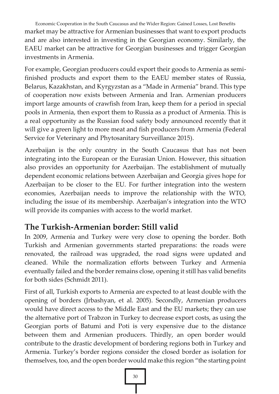Economic Cooperation in the South Caucasus and the Wider Region: Gained Losses, Lost Benefits market may be attractive for Armenian businesses that want to export products and are also interested in investing in the Georgian economy. Similarly, the EAEU market can be attractive for Georgian businesses and trigger Georgian investments in Armenia.

For example, Georgian producers could export their goods to Armenia as semifinished products and export them to the EAEU member states of Russia, Belarus, Kazakhstan, and Kyrgyzstan as a "Made in Armenia" brand. This type of cooperation now exists between Armenia and Iran. Armenian producers import large amounts of crawfish from Iran, keep them for a period in special pools in Armenia, then export them to Russia as a product of Armenia. This is a real opportunity as the Russian food safety body announced recently that it will give a green light to more meat and fish producers from Armenia (Federal Service for Veterinary and Phytosanitary Surveillance 2015).

Azerbaijan is the only country in the South Caucasus that has not been integrating into the European or the Eurasian Union. However, this situation also provides an opportunity for Azerbaijan. The establishment of mutually dependent economic relations between Azerbaijan and Georgia gives hope for Azerbaijan to be closer to the EU. For further integration into the western economies, Azerbaijan needs to improve the relationship with the WTO, including the issue of its membership. Azerbaijan's integration into the WTO will provide its companies with access to the world market.

## **The Turkish-Armenian border: Still valid**

In 2009, Armenia and Turkey were very close to opening the border. Both Turkish and Armenian governments started preparations: the roads were renovated, the railroad was upgraded, the road signs were updated and cleaned. While the normalization efforts between Turkey and Armenia eventually failed and the border remains close, opening it still has valid benefits for both sides (Schmidt 2011).

First of all, Turkish exports to Armenia are expected to at least double with the opening of borders (Jrbashyan, et al. 2005). Secondly, Armenian producers would have direct access to the Middle East and the EU markets; they can use the alternative port of Trabzon in Turkey to decrease export costs, as using the Georgian ports of Batumi and Poti is very expensive due to the distance between them and Armenian producers. Thirdly, an open border would contribute to the drastic development of bordering regions both in Turkey and Armenia. Turkey's border regions consider the closed border as isolation for themselves, too, and the open border would make this region "the starting point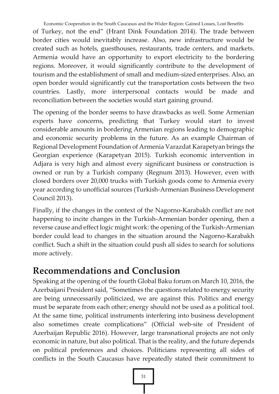Economic Cooperation in the South Caucasus and the Wider Region: Gained Losses, Lost Benefits

of Turkey, not the end" (Hrant Dink Foundation 2014). The trade between border cities would inevitably increase. Also, new infrastructure would be created such as hotels, guesthouses, restaurants, trade centers, and markets. Armenia would have an opportunity to export electricity to the bordering regions. Moreover, it would significantly contribute to the development of tourism and the establishment of small and medium-sized enterprises. Also, an open border would significantly cut the transportation costs between the two countries. Lastly, more interpersonal contacts would be made and reconciliation between the societies would start gaining ground.

The opening of the border seems to have drawbacks as well. Some Armenian experts have concerns, predicting that Turkey would start to invest considerable amounts in bordering Armenian regions leading to demographic and economic security problems in the future. As an example Chairman of Regional Development Foundation of Armenia Varazdat Karapetyan brings the Georgian experience (Karapetyan 2015). Turkish economic intervention in Adjara is very high and almost every significant business or construction is owned or run by a Turkish company (Regnum 2013). However, even with closed borders over 20,000 trucks with Turkish goods come to Armenia every year according to unofficial sources (Turkish-Armenian Business Development Council 2013).

Finally, if the changes in the context of the Nagorno-Karabakh conflict are not happening to incite changes in the Turkish-Armenian border opening, then a reverse cause and effect logic might work: the opening of the Turkish-Armenian border could lead to changes in the situation around the Nagorno-Karabakh conflict. Such a shift in the situation could push all sides to search for solutions more actively.

# **Recommendations and Conclusion**

Speaking at the opening of the fourth Global Baku forum on March 10, 2016, the Azerbaijani President said, "Sometimes the questions related to energy security are being unnecessarily politicized, we are against this. Politics and energy must be separate from each other; energy should not be used as a political tool. At the same time, political instruments interfering into business development also sometimes create complications" (Official web-site of President of Azerbaijan Republic 2016). However, large transnational projects are not only economic in nature, but also political. That is the reality, and the future depends on political preferences and choices. Politicians representing all sides of conflicts in the South Caucasus have repeatedly stated their commitment to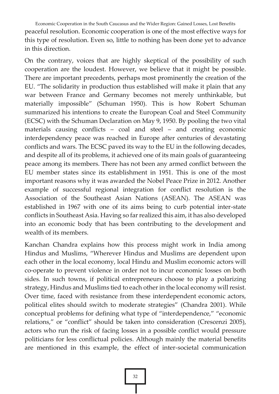Economic Cooperation in the South Caucasus and the Wider Region: Gained Losses, Lost Benefits peaceful resolution. Economic cooperation is one of the most effective ways for this type of resolution. Even so, little to nothing has been done yet to advance in this direction.

On the contrary, voices that are highly skeptical of the possibility of such cooperation are the loudest. However, we believe that it might be possible. There are important precedents, perhaps most prominently the creation of the EU. "The solidarity in production thus established will make it plain that any war between France and Germany becomes not merely unthinkable, but materially impossible" (Schuman 1950). This is how Robert Schuman summarized his intentions to create the European Coal and Steel Community (ECSC) with the Schuman Declaration on May 9, 1950. By pooling the two vital materials causing conflicts – coal and steel – and creating economic interdependency peace was reached in Europe after centuries of devastating conflicts and wars. The ECSC paved its way to the EU in the following decades, and despite all of its problems, it achieved one of its main goals of guaranteeing peace among its members. There has not been any armed conflict between the EU member states since its establishment in 1951. This is one of the most important reasons why it was awarded the Nobel Peace Prize in 2012. Another example of successful regional integration for conflict resolution is the Association of the Southeast Asian Nations (ASEAN). The ASEAN was established in 1967 with one of its aims being to curb potential inter-state conflicts in Southeast Asia. Having so far realized this aim, it has also developed into an economic body that has been contributing to the development and wealth of its members.

Kanchan Chandra explains how this process might work in India among Hindus and Muslims, "Wherever Hindus and Muslims are dependent upon each other in the local economy, local Hindu and Muslim economic actors will co-operate to prevent violence in order not to incur economic losses on both sides. In such towns, if political entrepreneurs choose to play a polarizing strategy, Hindus and Muslims tied to each other in the local economy will resist. Over time, faced with resistance from these interdependent economic actors, political elites should switch to moderate strategies" (Chandra 2001). While conceptual problems for defining what type of "interdependence," "economic relations," or "conflict" should be taken into consideration (Crescenzi 2005), actors who run the risk of facing losses in a possible conflict would pressure politicians for less conflictual policies. Although mainly the material benefits are mentioned in this example, the effect of inter-societal communication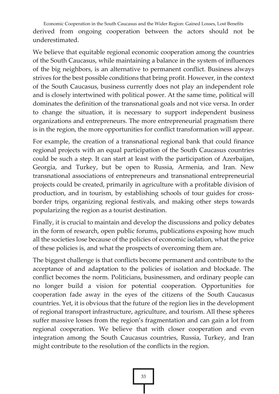Economic Cooperation in the South Caucasus and the Wider Region: Gained Losses, Lost Benefits derived from ongoing cooperation between the actors should not be underestimated.

We believe that equitable regional economic cooperation among the countries of the South Caucasus, while maintaining a balance in the system of influences of the big neighbors, is an alternative to permanent conflict. Business always strives for the best possible conditions that bring profit. However, in the context of the South Caucasus, business currently does not play an independent role and is closely intertwined with political power. At the same time, political will dominates the definition of the transnational goals and not vice versa. In order to change the situation, it is necessary to support independent business organizations and entrepreneurs. The more entrepreneurial pragmatism there is in the region, the more opportunities for conflict transformation will appear.

For example, the creation of a transnational regional bank that could finance regional projects with an equal participation of the South Caucasus countries could be such a step. It can start at least with the participation of Azerbaijan, Georgia, and Turkey, but be open to Russia, Armenia, and Iran. New transnational associations of entrepreneurs and transnational entrepreneurial projects could be created, primarily in agriculture with a profitable division of production, and in tourism, by establishing schools of tour guides for crossborder trips, organizing regional festivals, and making other steps towards popularizing the region as a tourist destination.

Finally, it is crucial to maintain and develop the discussions and policy debates in the form of research, open public forums, publications exposing how much all the societies lose because of the policies of economic isolation, what the price of these policies is, and what the prospects of overcoming them are.

The biggest challenge is that conflicts become permanent and contribute to the acceptance of and adaptation to the policies of isolation and blockade. The conflict becomes the norm. Politicians, businessmen, and ordinary people can no longer build a vision for potential cooperation. Opportunities for cooperation fade away in the eyes of the citizens of the South Caucasus countries. Yet, it is obvious that the future of the region lies in the development of regional transport infrastructure, agriculture, and tourism. All these spheres suffer massive losses from the region's fragmentation and can gain a lot from regional cooperation. We believe that with closer cooperation and even integration among the South Caucasus countries, Russia, Turkey, and Iran might contribute to the resolution of the conflicts in the region.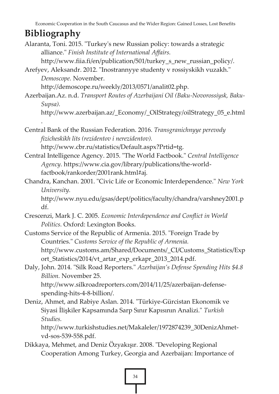Economic Cooperation in the South Caucasus and the Wider Region: Gained Losses, Lost Benefits

# **Bibliography**

Alaranta, Toni. 2015. "Turkey's new Russian policy: towards a strategic alliance." *Finish Institute of International Affairs.*

http://www.fiia.fi/en/publication/501/turkey\_s\_new\_russian\_policy/.

Arefyev, Aleksandr. 2012. "Inostrannyye studenty v rossiyskikh vuzakh." *Demoscope.* November.

http://demoscope.ru/weekly/2013/0571/analit02.php.

Azerbaijan.Az. n.d. *Transport Routes of Azerbaijani Oil (Baku-Novorossiysk, Baku-Supsa).*

http://www.azerbaijan.az/\_Economy/\_OilStrategy/oilStrategy\_05\_e.html

. Central Bank of the Russian Federation. 2016. *Transgranichnyye perevody fizicheskikh lits (rezidentov i nerezidentov).*

http://www.cbr.ru/statistics/Default.aspx?Prtid=tg.

- Central Intelligence Agency. 2015. "The World Factbook." *Central Intelligence Agency.* https://www.cia.gov/library/publications/the-worldfactbook/rankorder/2001rank.html#aj.
- Chandra, Kanchan. 2001. "Civic Life or Economic Interdependence." *New York University.*

http://www.nyu.edu/gsas/dept/politics/faculty/chandra/varshney2001.p df.

- Crescenzi, Mark J. C. 2005. *Economic Interdependence and Conflict in World Politics.* Oxford: Lexington Books.
- Customs Service of the Republic of Armenia. 2015. "Foreign Trade by Countries." *Customs Service of the Republic of Armenia.* http://www.customs.am/Shared/Documents/\_CI/Customs\_Statistics/Exp ort Statistics/2014/vt artar exp\_erkapr\_2013\_2014.pdf.
- Daly, John. 2014. "Silk Road Reporters." *Azerbaijan's Defense Spending Hits \$4.8 Billion.* November 25. http://www.silkroadreporters.com/2014/11/25/azerbaijan-defense-

spending-hits-4-8-billion/.

Deniz, Ahmet, and Rabiye Aslan. 2014. "Türkiye-Gürcistan Ekonomik ve Siyasi İlişkiler Kapsamında Sarp Sınır Kapısının Analizi." *Turkish Studies.*

http://www.turkishstudies.net/Makaleler/1972874239\_30DenizAhmetvd-sos-539-558.pdf.

Dikkaya, Mehmet, and Deniz Özyakışır. 2008. "Developing Regional Cooperation Among Turkey, Georgia and Azerbaijan: Importance of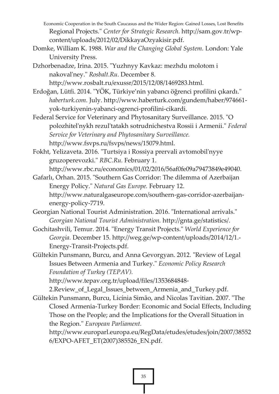Economic Cooperation in the South Caucasus and the Wider Region: Gained Losses, Lost Benefits Regional Projects." *Center for Strategic Research.* http://sam.gov.tr/wpcontent/uploads/2012/02/DikkayaOzyakisir.pdf.

Domke, William K. 1988. *War and the Changing Global System.* London: Yale University Press.

Dzhorbenadze, Irina. 2015. "Yuzhnyy Kavkaz: mezhdu molotom i nakoval'ney." *Rosbalt.Ru.* December 8. http://www.rosbalt.ru/exussr/2015/12/08/1469283.html.

Erdoğan, Lütfi. 2014. "YÖK, Türkiye'nin yabancı öğrenci profilini çıkardı." *haberturk.com.* July. http://www.haberturk.com/gundem/haber/974661 yok-turkiyenin-yabanci-ogrenci-profilini-cikardi.

Federal Service for Veterinary and Phytosanitary Surveillance. 2015. "O polozhitel'nykh rezul'tatakh sotrudnichestva Rossii i Armenii." *Federal Service for Veterinary and Phytosanitary Surveillance.* http://www.fsvps.ru/fsvps/news/15079.html.

Fokht, Yelizaveta. 2016. "Turtsiya i Rossiya prervali avtomobil'nyye gruzoperevozki." *RBC.Ru.* February 1.

http://www.rbc.ru/economics/01/02/2016/56af0fe09a79473849e49040. Gafarlı, Orhan. 2015. "Southern Gas Corridor: The dilemma of Azerbaijan

Energy Policy." *Natural Gas Europe.* February 12. http://www.naturalgaseurope.com/southern-gas-corridor-azerbaijanenergy-policy-7719.

Georgian National Tourist Administration. 2016. "International arrivals." *Georgian National Tourist Administration.* http://gnta.ge/statistics/.

Gochitashvili, Temur. 2014. "Energy Transit Projects." *World Experience for Georgia.* December 15. http://weg.ge/wp-content/uploads/2014/12/1.- Energy-Transit-Projects.pdf.

Gültekin Punsmann, Burcu, and Anna Gevorgyan. 2012. "Review of Legal Issues Between Armenia and Turkey." *Economic Policy Research Foundation of Turkey (TEPAV).*

http://www.tepav.org.tr/upload/files/1353684848-

2.Review of Legal Issues between Armenia and Turkey.pdf. Gültekin Punsmann, Burcu, Licínia Simão, and Nicolas Tavitian. 2007. "The

Closed Armenia-Turkey Border: Economic and Social Effects, Including Those on the People; and the Implications for the Overall Situation in the Region." *European Parliament.*

http://www.europarl.europa.eu/RegData/etudes/etudes/join/2007/38552 6/EXPO-AFET\_ET(2007)385526\_EN.pdf.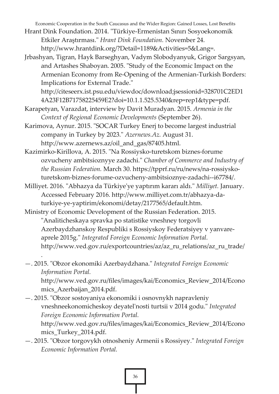Economic Cooperation in the South Caucasus and the Wider Region: Gained Losses, Lost Benefits

- Hrant Dink Foundation. 2014. "Türkiye-Ermenistan Sınırı Sosyoekonomik Etkiler Araştırması." *Hrant Dink Foundation.* November 24. http://www.hrantdink.org/?Detail=1189&Activities=5&Lang=.
- Jrbashyan, Tigran, Hayk Barseghyan, Vadym Slobodyanyuk, Grigor Sargsyan, and Artashes Shaboyan. 2005. "Study of the Economic Impact on the Armenian Economy from Re-Opening of the Armenian-Turkish Borders: Implications for External Trade."

http://citeseerx.ist.psu.edu/viewdoc/download;jsessionid=328701C2ED1 4A23F12B71758225459E2?doi=10.1.1.525.5340&rep=rep1&type=pdf.

- Karapetyan, Varazdat, interview by Davit Muradyan. 2015. *Armenia in the Context of Regional Economic Developments* (September 26).
- Karimova, Aynur. 2015. "SOCAR Turkey Enerj to become largest industrial company in Turkey by 2023." *Azernews.Az.* August 31. http://www.azernews.az/oil\_and\_gas/87405.html.

Kazimirko-Kirillova, A. 2015. "Na Rossiysko-turetskom biznes-forume ozvucheny ambitsioznyye zadachi." *Chamber of Commerce and Industry of the Russian Federation.* March 30. https://tpprf.ru/ru/news/na-rossiyskoturetskom-biznes-forume-ozvucheny-ambitsioznye-zadachi--i67784/.

- Milliyet. 2016. "Abhazya da Türkiye'ye yaptırım kararı aldı." *Milliyet.* January. Accessed February 2016. http://www.milliyet.com.tr/abhazya-daturkiye-ye-yaptirim/ekonomi/detay/2177565/default.htm.
- Ministry of Economic Development of the Russian Federation. 2015. "Analiticheskaya spravka po statistike vneshney torgovli Azerbaydzhanskoy Respubliki s Rossiyskoy Federatsiyey v yanvareaprele 2015g." *Integrated Foreign Economic Information Portal.* http://www.ved.gov.ru/exportcountries/az/az\_ru\_relations/az\_ru\_trade/

—. 2015. "Obzor ekonomiki Azerbaydzhana." *Integrated Foreign Economic Information Portal.* http://www.ved.gov.ru/files/images/kai/Economics\_Review\_2014/Econo mics\_Azerbaijan\_2014.pdf.

.

- —. 2015. "Obzor sostoyaniya ekonomiki i osnovnykh napravleniy vneshneekonomicheskoy deyatel'nosti turtsii v 2014 godu." *Integrated Foreign Economic Information Portal.* http://www.ved.gov.ru/files/images/kai/Economics\_Review\_2014/Econo mics\_Turkey\_2014.pdf.
- —. 2015. "Obzor torgovykh otnosheniy Armenii s Rossiyey." *Integrated Foreign Economic Information Portal.*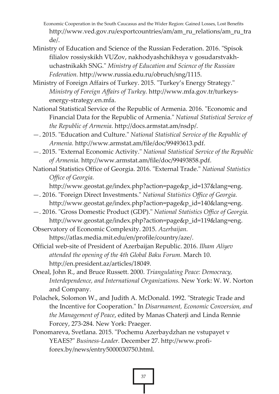Economic Cooperation in the South Caucasus and the Wider Region: Gained Losses, Lost Benefits http://www.ved.gov.ru/exportcountries/am/am\_ru\_relations/am\_ru\_tra  $de/$ 

- Ministry of Education and Science of the Russian Federation. 2016. "Spisok filialov rossiyskikh VUZov, nakhodyashchikhsya v gosudarstvakhuchastnikakh SNG." *Ministry of Education and Science of the Russian Federation.* http://www.russia.edu.ru/obruch/sng/1115.
- Ministry of Foreign Affairs of Turkey. 2015. "Turkey's Energy Strategy." *Ministry of Foreign Affairs of Turkey.* http://www.mfa.gov.tr/turkeysenergy-strategy.en.mfa.
- National Statistical Service of the Republic of Armenia. 2016. "Economic and Financial Data for the Republic of Armenia." *National Statistical Service of the Republic of Armenia.* http://docs.armstat.am/nsdp/.
- —. 2015. "Education and Culture." *National Statistical Service of the Republic of Armenia.* http://www.armstat.am/file/doc/99493613.pdf.
- —. 2015. "External Economic Activity." *National Statistical Service of the Republic of Armenia.* http://www.armstat.am/file/doc/99493858.pdf.
- National Statistics Office of Georgia. 2016. "External Trade." *National Statistics Office of Georgia.*

http://www.geostat.ge/index.php?action=page&p\_id=137&lang=eng.

- —. 2016. "Foreign Direct Investments." *National Statistics Office of Georgia.* http://www.geostat.ge/index.php?action=page&p\_id=140&lang=eng.
- —. 2016. "Gross Domestic Product (GDP)." *National Statistics Office of Georgia.* http://www.geostat.ge/index.php?action=page&p\_id=119&lang=eng.

Observatory of Economic Complexity. 2015. *Azerbaijan.* https://atlas.media.mit.edu/en/profile/country/aze/.

- Official web-site of President of Azerbaijan Republic. 2016. *Ilham Aliyev attended the opening of the 4th Global Baku Forum.* March 10. http://en.president.az/articles/18049.
- Oneal, John R., and Bruce Russett. 2000. *Triangulating Peace: Democracy, Interdependence, and International Organizations.* New York: W. W. Norton and Company.
- Polachek, Solomon W., and Judith A. McDonald. 1992. "Strategic Trade and the Incentive for Cooperation." In *Disarmament, Economic Conversion, and the Management of Peace*, edited by Manas Chaterji and Linda Rennie Forcey, 273-284. New York: Praeger.
- Ponomareva, Svetlana. 2015. "Pochemu Azerbaydzhan ne vstupayet v YEAES?" *Business-Leader.* December 27. http://www.profiforex.by/news/entry5000030750.html.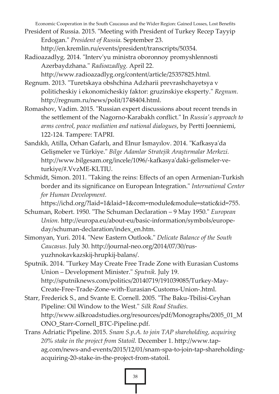Economic Cooperation in the South Caucasus and the Wider Region: Gained Losses, Lost Benefits

President of Russia. 2015. "Meeting with President of Turkey Recep Tayyip Erdogan." *President of Russia.* September 23.

http://en.kremlin.ru/events/president/transcripts/50354.

Radioazadlyg. 2014. "Interv'yu ministra oboronnoy promyshlennosti Azerbaydzhana." *Radioazadlyg.* April 22.

http://www.radioazadlyg.org/content/article/25357825.html.

- Regnum. 2013. "Turetskaya obshchina Adzharii prevrashchayetsya v politicheskiy i ekonomicheskiy faktor: gruzinskiye eksperty." *Regnum.* http://regnum.ru/news/polit/1748404.html.
- Romashov, Vadim. 2015. "Russian expert discussions about recent trends in the settlement of the Nagorno-Karabakh conflict." In *Russia's approach to arms control, peace mediation and national dialogues*, by Pertti Joenniemi, 122-124. Tampere: TAPRI.
- Sandıklı, Atilla, Orhan Gafarlı, and Elnur Ismayılov. 2014. "Kafkasya'da Gelişmeler ve Türkiye." *Bilge Adamlar Stratejik Araştırmalar Merkezi.* http://www.bilgesam.org/incele/1096/-kafkasya'daki-gelismeler-veturkiye/#.VvzME-KLTIU.
- Schmidt, Simon. 2011. "Taking the reins: Effects of an open Armenian-Turkish border and its significance on European Integration." *International Center for Human Development.*

https://ichd.org/?laid=1&laid=1&com=module&module=static&id=755.

- Schuman, Robert. 1950. "The Schuman Declaration 9 May 1950." *European Union.* http://europa.eu/about-eu/basic-information/symbols/europeday/schuman-declaration/index\_en.htm.
- Simonyan, Yuri. 2014. "New Eastern Outlook." *Delicate Balance of the South Caucasus.* July 30. http://journal-neo.org/2014/07/30/rusyuzhnokavkazskij-hrupkij-balans/.
- Sputnik. 2014. "Turkey May Create Free Trade Zone with Eurasian Customs Union – Development Minister." *Sputnik.* July 19. http://sputniknews.com/politics/20140719/191039085/Turkey-May-Create-Free-Trade-Zone-with-Eurasian-Customs-Union-.html.
- Starr, Frederick S., and Svante E. Cornell. 2005. "The Baku-Tbilisi-Ceyhan Pipeline: Oil Window to the West." *Silk Road Studies.* http://www.silkroadstudies.org/resources/pdf/Monographs/2005\_01\_M ONO\_Starr-Cornell\_BTC-Pipeline.pdf.
- Trans Adriatic Pipeline. 2015. *Snam S.p.A. to join TAP shareholding, acquiring 20% stake in the project from Statoil.* December 1. http://www.tapag.com/news-and-events/2015/12/01/snam-spa-to-join-tap-shareholdingacquiring-20-stake-in-the-project-from-statoil.